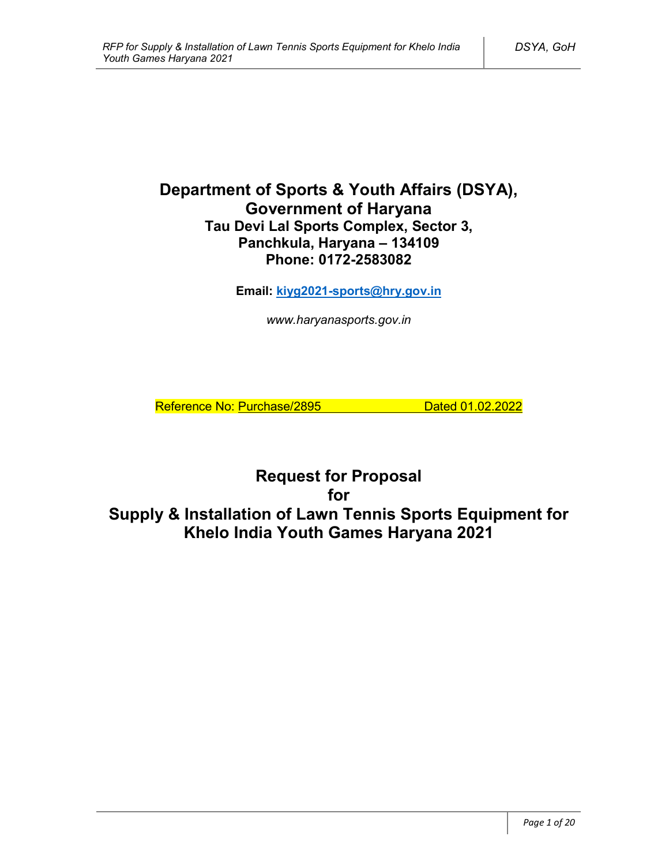# **Department of Sports & Youth Affairs (DSYA), Government of Haryana Tau Devi Lal Sports Complex, Sector 3, Panchkula, Haryana – 134109 Phone: 0172-2583082**

**Email: kiyg2021-sports@hry.gov.in**

*www.haryanasports.gov.in*

Reference No: Purchase/2895 Dated 01.02.2022

# **Request for Proposal for Supply & Installation of Lawn Tennis Sports Equipment for Khelo India Youth Games Haryana 2021**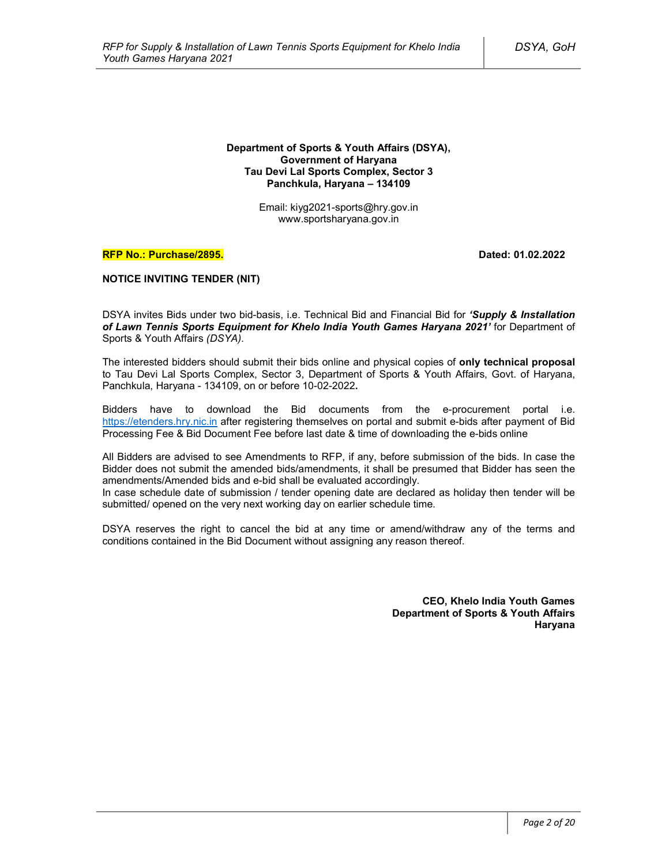#### **Department of Sports & Youth Affairs (DSYA), Government of Haryana Tau Devi Lal Sports Complex, Sector 3 Panchkula, Haryana – 134109**

Email: kiyg2021-sports@hry.gov.in www.sportsharyana.gov.in

#### **RFP No.: Purchase/2895. Dated: 01.02.2022**

## **NOTICE INVITING TENDER (NIT)**

DSYA invites Bids under two bid-basis, i.e. Technical Bid and Financial Bid for *'Supply & Installation of Lawn Tennis Sports Equipment for Khelo India Youth Games Haryana 2021'* for Department of Sports & Youth Affairs *(DSYA)*.

The interested bidders should submit their bids online and physical copies of **only technical proposal** to Tau Devi Lal Sports Complex, Sector 3, Department of Sports & Youth Affairs, Govt. of Haryana, Panchkula, Haryana - 134109, on or before 10-02-2022**.**

Bidders have to download the Bid documents from the e-procurement portal i.e. https://etenders.hry.nic.in after registering themselves on portal and submit e-bids after payment of Bid Processing Fee & Bid Document Fee before last date & time of downloading the e-bids online

All Bidders are advised to see Amendments to RFP, if any, before submission of the bids. In case the Bidder does not submit the amended bids/amendments, it shall be presumed that Bidder has seen the amendments/Amended bids and e-bid shall be evaluated accordingly.

In case schedule date of submission / tender opening date are declared as holiday then tender will be submitted/ opened on the very next working day on earlier schedule time.

DSYA reserves the right to cancel the bid at any time or amend/withdraw any of the terms and conditions contained in the Bid Document without assigning any reason thereof.

> **CEO, Khelo India Youth Games Department of Sports & Youth Affairs Haryana**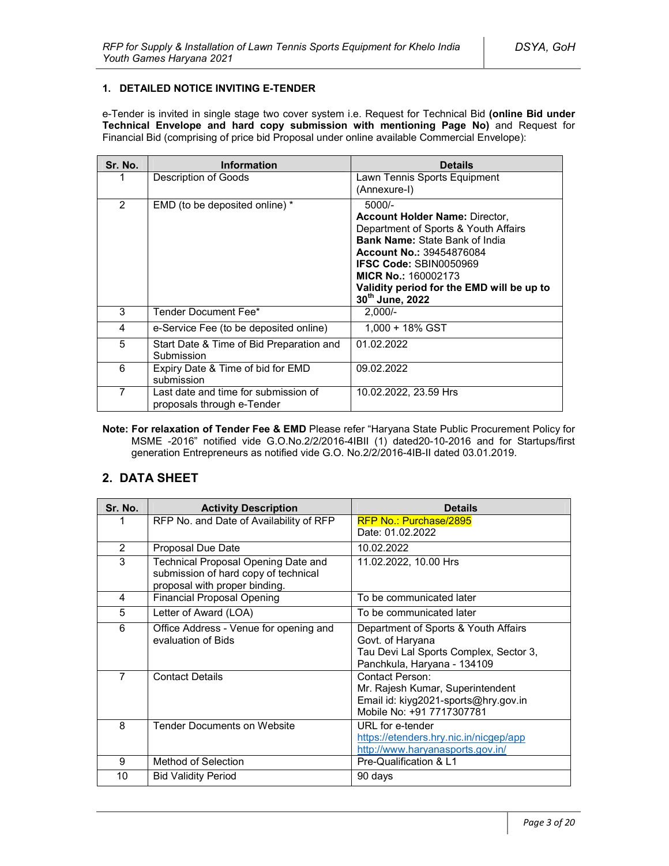## **1. DETAILED NOTICE INVITING E-TENDER**

e-Tender is invited in single stage two cover system i.e. Request for Technical Bid **(online Bid under Technical Envelope and hard copy submission with mentioning Page No)** and Request for Financial Bid (comprising of price bid Proposal under online available Commercial Envelope):

| Sr. No. | <b>Information</b>                                                 | <b>Details</b>                                                                                                                                                                                                                                                                                       |
|---------|--------------------------------------------------------------------|------------------------------------------------------------------------------------------------------------------------------------------------------------------------------------------------------------------------------------------------------------------------------------------------------|
|         | Description of Goods                                               | Lawn Tennis Sports Equipment<br>(Annexure-I)                                                                                                                                                                                                                                                         |
| 2       | EMD (to be deposited online) *                                     | $5000/-$<br><b>Account Holder Name: Director,</b><br>Department of Sports & Youth Affairs<br><b>Bank Name: State Bank of India</b><br><b>Account No.: 39454876084</b><br><b>IFSC Code: SBIN0050969</b><br><b>MICR No.: 160002173</b><br>Validity period for the EMD will be up to<br>30th June, 2022 |
| 3       | Tender Document Fee*                                               | $2.000/-$                                                                                                                                                                                                                                                                                            |
| 4       | e-Service Fee (to be deposited online)                             | 1.000 + 18% GST                                                                                                                                                                                                                                                                                      |
| 5       | Start Date & Time of Bid Preparation and<br>Submission             | 01.02.2022                                                                                                                                                                                                                                                                                           |
| 6       | Expiry Date & Time of bid for EMD<br>submission                    | 09.02.2022                                                                                                                                                                                                                                                                                           |
| 7       | Last date and time for submission of<br>proposals through e-Tender | 10.02.2022, 23.59 Hrs                                                                                                                                                                                                                                                                                |

**Note: For relaxation of Tender Fee & EMD** Please refer "Haryana State Public Procurement Policy for MSME -2016" notified vide G.O.No.2/2/2016-4IBII (1) dated20-10-2016 and for Startups/first generation Entrepreneurs as notified vide G.O. No.2/2/2016-4IB-II dated 03.01.2019.

# **2. DATA SHEET**

| Sr. No.        | <b>Activity Description</b>                                                                                  | <b>Details</b>                                                                                                                    |
|----------------|--------------------------------------------------------------------------------------------------------------|-----------------------------------------------------------------------------------------------------------------------------------|
|                | RFP No. and Date of Availability of RFP                                                                      | RFP No.: Purchase/2895                                                                                                            |
|                |                                                                                                              | Date: 01.02.2022                                                                                                                  |
| 2              | <b>Proposal Due Date</b>                                                                                     | 10.02.2022                                                                                                                        |
| 3              | Technical Proposal Opening Date and<br>submission of hard copy of technical<br>proposal with proper binding. | 11.02.2022, 10.00 Hrs                                                                                                             |
| 4              | <b>Financial Proposal Opening</b>                                                                            | To be communicated later                                                                                                          |
| 5              | Letter of Award (LOA)                                                                                        | To be communicated later                                                                                                          |
| 6              | Office Address - Venue for opening and<br>evaluation of Bids                                                 | Department of Sports & Youth Affairs<br>Govt. of Haryana<br>Tau Devi Lal Sports Complex, Sector 3,<br>Panchkula, Haryana - 134109 |
| $\overline{7}$ | <b>Contact Details</b>                                                                                       | Contact Person:<br>Mr. Rajesh Kumar, Superintendent<br>Email id: kiyg2021-sports@hry.gov.in<br>Mobile No: +91 7717307781          |
| 8              | <b>Tender Documents on Website</b>                                                                           | URL for e-tender<br>https://etenders.hry.nic.in/nicgep/app<br>http://www.haryanasports.gov.in/                                    |
| 9              | Method of Selection                                                                                          | Pre-Qualification & L1                                                                                                            |
| 10             | <b>Bid Validity Period</b>                                                                                   | 90 days                                                                                                                           |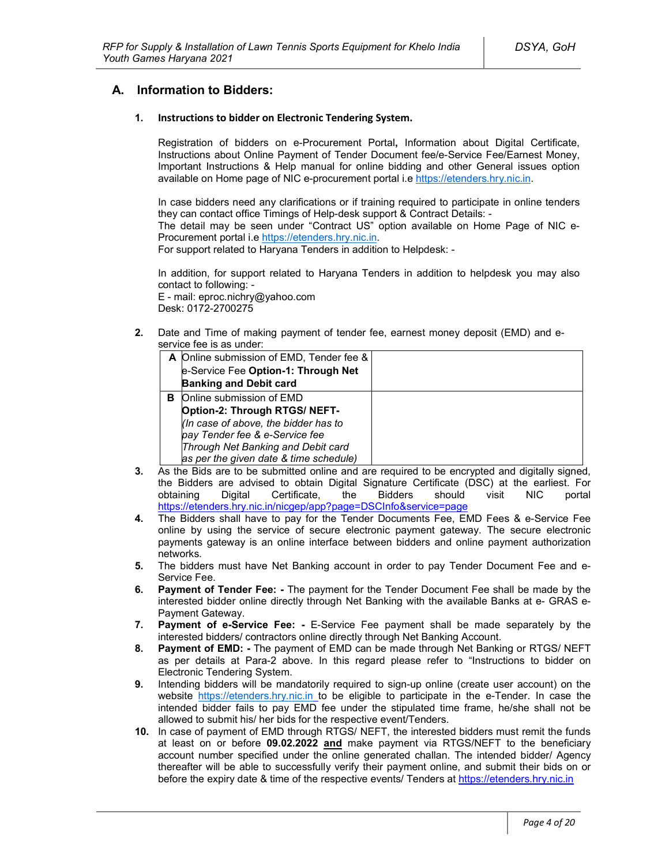# **A. Information to Bidders:**

#### **1. Instructions to bidder on Electronic Tendering System.**

Registration of bidders on e-Procurement Portal**,** Information about Digital Certificate, Instructions about Online Payment of Tender Document fee/e-Service Fee/Earnest Money, Important Instructions & Help manual for online bidding and other General issues option available on Home page of NIC e-procurement portal i.e https://etenders.hry.nic.in.

In case bidders need any clarifications or if training required to participate in online tenders they can contact office Timings of Help-desk support & Contract Details: -

The detail may be seen under "Contract US" option available on Home Page of NIC e-Procurement portal i.e https://etenders.hry.nic.in.

For support related to Haryana Tenders in addition to Helpdesk: -

In addition, for support related to Haryana Tenders in addition to helpdesk you may also contact to following: -

E - mail: eproc.nichry@yahoo.com Desk: 0172-2700275

**2.** Date and Time of making payment of tender fee, earnest money deposit (EMD) and eservice fee is as under:

|   | A Online submission of EMD, Tender fee & |  |
|---|------------------------------------------|--|
|   | e-Service Fee Option-1: Through Net      |  |
|   | <b>Banking and Debit card</b>            |  |
| в | Online submission of EMD                 |  |
|   | Option-2: Through RTGS/ NEFT-            |  |
|   | (In case of above, the bidder has to     |  |
|   | pay Tender fee & e-Service fee           |  |
|   | Through Net Banking and Debit card       |  |
|   | as per the given date & time schedule)   |  |

- **3.** As the Bids are to be submitted online and are required to be encrypted and digitally signed, the Bidders are advised to obtain Digital Signature Certificate (DSC) at the earliest. For obtaining Digital Certificate, the Bidders should visit NIC portal https://etenders.hry.nic.in/nicgep/app?page=DSCInfo&service=page
- **4.** The Bidders shall have to pay for the Tender Documents Fee, EMD Fees & e-Service Fee online by using the service of secure electronic payment gateway. The secure electronic payments gateway is an online interface between bidders and online payment authorization networks.
- **5.** The bidders must have Net Banking account in order to pay Tender Document Fee and e-Service Fee.
- **6. Payment of Tender Fee: -** The payment for the Tender Document Fee shall be made by the interested bidder online directly through Net Banking with the available Banks at e- GRAS e-Payment Gateway.
- **7. Payment of e-Service Fee: -** E-Service Fee payment shall be made separately by the interested bidders/ contractors online directly through Net Banking Account.
- **8. Payment of EMD: -** The payment of EMD can be made through Net Banking or RTGS/ NEFT as per details at Para-2 above. In this regard please refer to "Instructions to bidder on Electronic Tendering System.
- **9.** Intending bidders will be mandatorily required to sign-up online (create user account) on the website https://etenders.hry.nic.in to be eligible to participate in the e-Tender. In case the intended bidder fails to pay EMD fee under the stipulated time frame, he/she shall not be allowed to submit his/ her bids for the respective event/Tenders.
- **10.** In case of payment of EMD through RTGS/ NEFT, the interested bidders must remit the funds at least on or before **09.02.2022 and** make payment via RTGS/NEFT to the beneficiary account number specified under the online generated challan. The intended bidder/ Agency thereafter will be able to successfully verify their payment online, and submit their bids on or before the expiry date & time of the respective events/ Tenders at https://etenders.hry.nic.in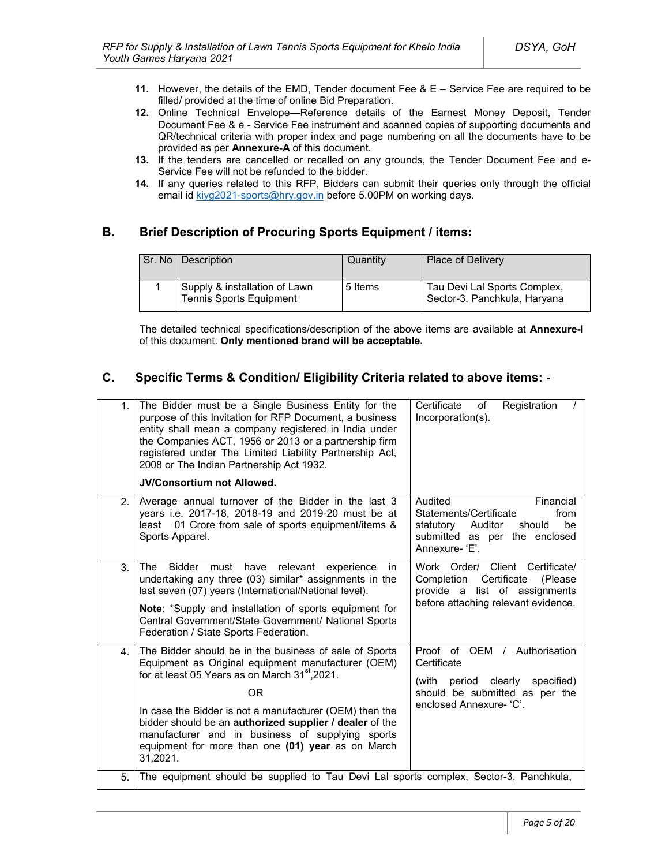- **11.** However, the details of the EMD, Tender document Fee & E Service Fee are required to be filled/ provided at the time of online Bid Preparation.
- **12.** Online Technical Envelope—Reference details of the Earnest Money Deposit, Tender Document Fee & e - Service Fee instrument and scanned copies of supporting documents and QR/technical criteria with proper index and page numbering on all the documents have to be provided as per **Annexure-A** of this document.
- **13.** If the tenders are cancelled or recalled on any grounds, the Tender Document Fee and e-Service Fee will not be refunded to the bidder.
- **14.** If any queries related to this RFP, Bidders can submit their queries only through the official email id kiyg2021-sports@hry.gov.in before 5.00PM on working days.

# **B. Brief Description of Procuring Sports Equipment / items:**

| Sr. No   Description                                            | Quantity | <b>Place of Delivery</b>                                     |
|-----------------------------------------------------------------|----------|--------------------------------------------------------------|
| Supply & installation of Lawn<br><b>Tennis Sports Equipment</b> | 5 Items  | Tau Devi Lal Sports Complex,<br>Sector-3, Panchkula, Haryana |

The detailed technical specifications/description of the above items are available at **Annexure-I** of this document. **Only mentioned brand will be acceptable.** 

# **C. Specific Terms & Condition/ Eligibility Criteria related to above items: -**

| 1. | The Bidder must be a Single Business Entity for the<br>purpose of this Invitation for RFP Document, a business<br>entity shall mean a company registered in India under<br>the Companies ACT, 1956 or 2013 or a partnership firm<br>registered under The Limited Liability Partnership Act,<br>2008 or The Indian Partnership Act 1932.<br><b>JV/Consortium not Allowed.</b>                                                            | Certificate<br>Registration<br>of<br>Incorporation(s).                                                                                            |
|----|-----------------------------------------------------------------------------------------------------------------------------------------------------------------------------------------------------------------------------------------------------------------------------------------------------------------------------------------------------------------------------------------------------------------------------------------|---------------------------------------------------------------------------------------------------------------------------------------------------|
| 2. | Average annual turnover of the Bidder in the last 3<br>years i.e. 2017-18, 2018-19 and 2019-20 must be at<br>01 Crore from sale of sports equipment/items &<br>least<br>Sports Apparel.                                                                                                                                                                                                                                                 | Audited<br>Financial<br>Statements/Certificate<br>from<br>statutory<br>Auditor<br>be<br>should<br>submitted as per the enclosed<br>Annexure-'E'.  |
| 3. | The<br><b>Bidder</b><br>must<br>have<br>relevant<br>experience<br>in.<br>undertaking any three (03) similar* assignments in the<br>last seven (07) years (International/National level).<br>Note: *Supply and installation of sports equipment for<br>Central Government/State Government/ National Sports<br>Federation / State Sports Federation.                                                                                     | Work Order/ Client Certificate/<br>Certificate<br>Completion<br>(Please)<br>provide a list of assignments<br>before attaching relevant evidence.  |
| 4. | The Bidder should be in the business of sale of Sports<br>Equipment as Original equipment manufacturer (OEM)<br>for at least 05 Years as on March 31 <sup>st</sup> , 2021.<br>0 <sub>R</sub><br>In case the Bidder is not a manufacturer (OEM) then the<br>bidder should be an authorized supplier / dealer of the<br>manufacturer and in business of supplying sports<br>equipment for more than one (01) year as on March<br>31,2021. | Proof of OEM /<br>Authorisation<br>Certificate<br>(with period clearly<br>specified)<br>should be submitted as per the<br>enclosed Annexure- 'C'. |
| 5. | The equipment should be supplied to Tau Devi Lal sports complex, Sector-3, Panchkula,                                                                                                                                                                                                                                                                                                                                                   |                                                                                                                                                   |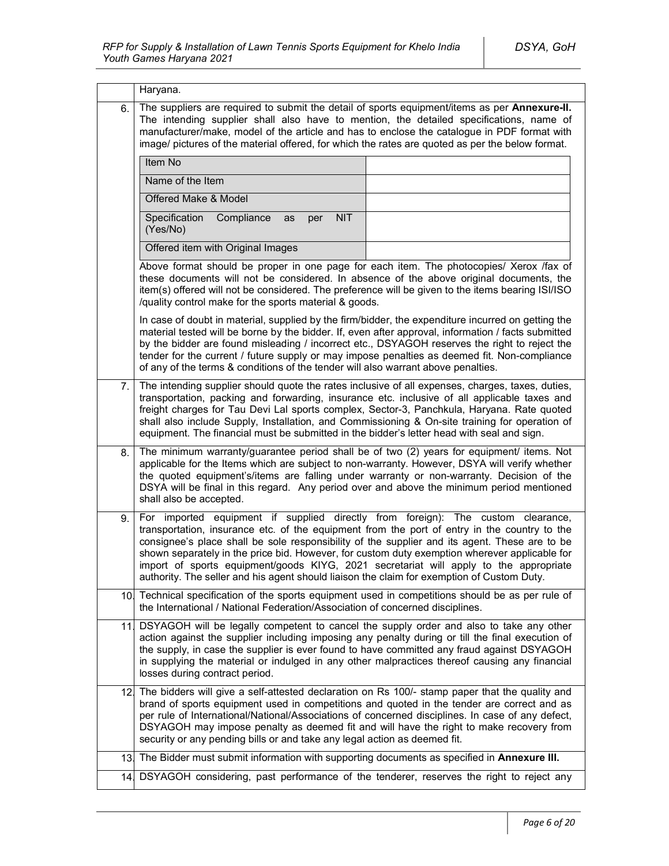|     | Haryana.                                                                                                                                                                                                                                                                                                                                                                                                                                                                                                                                                                  |  |
|-----|---------------------------------------------------------------------------------------------------------------------------------------------------------------------------------------------------------------------------------------------------------------------------------------------------------------------------------------------------------------------------------------------------------------------------------------------------------------------------------------------------------------------------------------------------------------------------|--|
| 6.  | The suppliers are required to submit the detail of sports equipment/items as per Annexure-II.<br>The intending supplier shall also have to mention, the detailed specifications, name of<br>manufacturer/make, model of the article and has to enclose the catalogue in PDF format with<br>image/ pictures of the material offered, for which the rates are quoted as per the below format.                                                                                                                                                                               |  |
|     | Item No                                                                                                                                                                                                                                                                                                                                                                                                                                                                                                                                                                   |  |
|     | Name of the Item                                                                                                                                                                                                                                                                                                                                                                                                                                                                                                                                                          |  |
|     | Offered Make & Model                                                                                                                                                                                                                                                                                                                                                                                                                                                                                                                                                      |  |
|     | Specification<br>Compliance<br><b>NIT</b><br>as<br>per<br>(Yes/No)                                                                                                                                                                                                                                                                                                                                                                                                                                                                                                        |  |
|     | Offered item with Original Images                                                                                                                                                                                                                                                                                                                                                                                                                                                                                                                                         |  |
|     | Above format should be proper in one page for each item. The photocopies/ Xerox /fax of<br>these documents will not be considered. In absence of the above original documents, the<br>item(s) offered will not be considered. The preference will be given to the items bearing ISI/ISO<br>/quality control make for the sports material & goods.                                                                                                                                                                                                                         |  |
|     | In case of doubt in material, supplied by the firm/bidder, the expenditure incurred on getting the<br>material tested will be borne by the bidder. If, even after approval, information / facts submitted<br>by the bidder are found misleading / incorrect etc., DSYAGOH reserves the right to reject the<br>tender for the current / future supply or may impose penalties as deemed fit. Non-compliance<br>of any of the terms & conditions of the tender will also warrant above penalties.                                                                           |  |
| 7.  | The intending supplier should quote the rates inclusive of all expenses, charges, taxes, duties,<br>transportation, packing and forwarding, insurance etc. inclusive of all applicable taxes and<br>freight charges for Tau Devi Lal sports complex, Sector-3, Panchkula, Haryana. Rate quoted<br>shall also include Supply, Installation, and Commissioning & On-site training for operation of<br>equipment. The financial must be submitted in the bidder's letter head with seal and sign.                                                                            |  |
| 8.  | The minimum warranty/guarantee period shall be of two (2) years for equipment/ items. Not<br>applicable for the Items which are subject to non-warranty. However, DSYA will verify whether<br>the quoted equipment's/items are falling under warranty or non-warranty. Decision of the<br>DSYA will be final in this regard. Any period over and above the minimum period mentioned<br>shall also be accepted.                                                                                                                                                            |  |
| 9.  | For imported equipment if supplied directly from foreign): The custom clearance,<br>transportation, insurance etc. of the equipment from the port of entry in the country to the<br>consignee's place shall be sole responsibility of the supplier and its agent. These are to be<br>shown separately in the price bid. However, for custom duty exemption wherever applicable for<br>import of sports equipment/goods KIYG, 2021 secretariat will apply to the appropriate<br>authority. The seller and his agent should liaison the claim for exemption of Custom Duty. |  |
| 10. | Technical specification of the sports equipment used in competitions should be as per rule of<br>the International / National Federation/Association of concerned disciplines.                                                                                                                                                                                                                                                                                                                                                                                            |  |
| 111 | DSYAGOH will be legally competent to cancel the supply order and also to take any other<br>action against the supplier including imposing any penalty during or till the final execution of<br>the supply, in case the supplier is ever found to have committed any fraud against DSYAGOH<br>in supplying the material or indulged in any other malpractices thereof causing any financial<br>losses during contract period.                                                                                                                                              |  |
|     | 12. The bidders will give a self-attested declaration on Rs 100/- stamp paper that the quality and<br>brand of sports equipment used in competitions and quoted in the tender are correct and as<br>per rule of International/National/Associations of concerned disciplines. In case of any defect,<br>DSYAGOH may impose penalty as deemed fit and will have the right to make recovery from<br>security or any pending bills or and take any legal action as deemed fit.                                                                                               |  |
| 13. | The Bidder must submit information with supporting documents as specified in Annexure III.                                                                                                                                                                                                                                                                                                                                                                                                                                                                                |  |
|     | 14. DSYAGOH considering, past performance of the tenderer, reserves the right to reject any                                                                                                                                                                                                                                                                                                                                                                                                                                                                               |  |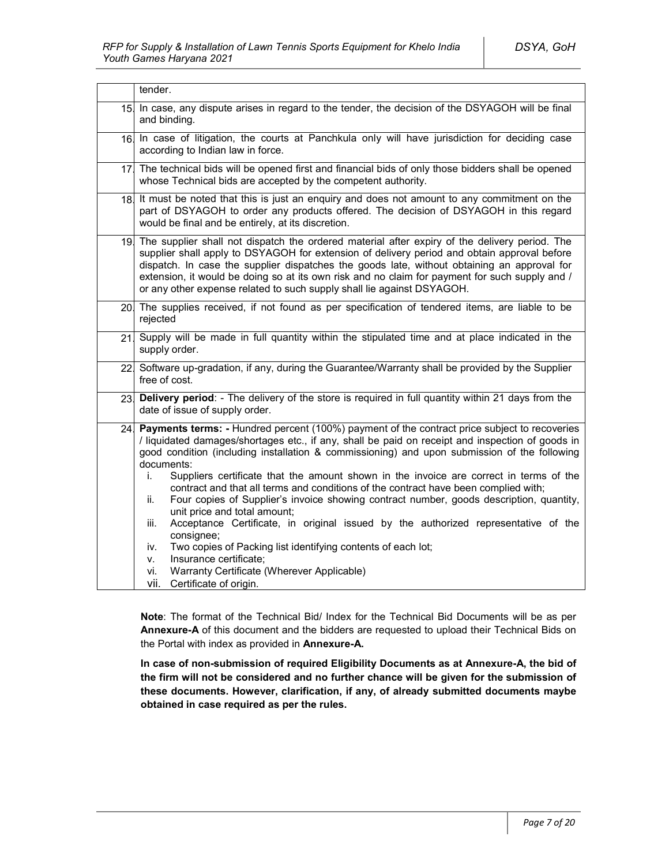|                 | tender.                                                                                                                                                                                                                                                                                                                                                                                                                                                                                                                                                                                                                                                                                                                                                                                                                                                                                                                                           |  |
|-----------------|---------------------------------------------------------------------------------------------------------------------------------------------------------------------------------------------------------------------------------------------------------------------------------------------------------------------------------------------------------------------------------------------------------------------------------------------------------------------------------------------------------------------------------------------------------------------------------------------------------------------------------------------------------------------------------------------------------------------------------------------------------------------------------------------------------------------------------------------------------------------------------------------------------------------------------------------------|--|
| 15.             | In case, any dispute arises in regard to the tender, the decision of the DSYAGOH will be final<br>and binding.                                                                                                                                                                                                                                                                                                                                                                                                                                                                                                                                                                                                                                                                                                                                                                                                                                    |  |
| 16 <sub>l</sub> | In case of litigation, the courts at Panchkula only will have jurisdiction for deciding case<br>according to Indian law in force.                                                                                                                                                                                                                                                                                                                                                                                                                                                                                                                                                                                                                                                                                                                                                                                                                 |  |
|                 | 17 The technical bids will be opened first and financial bids of only those bidders shall be opened<br>whose Technical bids are accepted by the competent authority.                                                                                                                                                                                                                                                                                                                                                                                                                                                                                                                                                                                                                                                                                                                                                                              |  |
| 18.             | It must be noted that this is just an enguiry and does not amount to any commitment on the<br>part of DSYAGOH to order any products offered. The decision of DSYAGOH in this regard<br>would be final and be entirely, at its discretion.                                                                                                                                                                                                                                                                                                                                                                                                                                                                                                                                                                                                                                                                                                         |  |
| 19.             | The supplier shall not dispatch the ordered material after expiry of the delivery period. The<br>supplier shall apply to DSYAGOH for extension of delivery period and obtain approval before<br>dispatch. In case the supplier dispatches the goods late, without obtaining an approval for<br>extension, it would be doing so at its own risk and no claim for payment for such supply and /<br>or any other expense related to such supply shall lie against DSYAGOH.                                                                                                                                                                                                                                                                                                                                                                                                                                                                           |  |
|                 | 20. The supplies received, if not found as per specification of tendered items, are liable to be<br>rejected                                                                                                                                                                                                                                                                                                                                                                                                                                                                                                                                                                                                                                                                                                                                                                                                                                      |  |
| 21              | Supply will be made in full quantity within the stipulated time and at place indicated in the<br>supply order.                                                                                                                                                                                                                                                                                                                                                                                                                                                                                                                                                                                                                                                                                                                                                                                                                                    |  |
|                 | 22 Software up-gradation, if any, during the Guarantee/Warranty shall be provided by the Supplier<br>free of cost.                                                                                                                                                                                                                                                                                                                                                                                                                                                                                                                                                                                                                                                                                                                                                                                                                                |  |
| <b>23</b>       | Delivery period: - The delivery of the store is required in full quantity within 21 days from the<br>date of issue of supply order.                                                                                                                                                                                                                                                                                                                                                                                                                                                                                                                                                                                                                                                                                                                                                                                                               |  |
| 24.             | Payments terms: - Hundred percent (100%) payment of the contract price subject to recoveries<br>/ liquidated damages/shortages etc., if any, shall be paid on receipt and inspection of goods in<br>good condition (including installation & commissioning) and upon submission of the following<br>documents:<br>Suppliers certificate that the amount shown in the invoice are correct in terms of the<br>i.<br>contract and that all terms and conditions of the contract have been complied with;<br>Four copies of Supplier's invoice showing contract number, goods description, quantity,<br>ii.<br>unit price and total amount;<br>Acceptance Certificate, in original issued by the authorized representative of the<br>iii.<br>consignee;<br>Two copies of Packing list identifying contents of each lot;<br>iv.<br>Insurance certificate;<br>v.<br>Warranty Certificate (Wherever Applicable)<br>vi.<br>vii.<br>Certificate of origin. |  |

**Note**: The format of the Technical Bid/ Index for the Technical Bid Documents will be as per **Annexure-A** of this document and the bidders are requested to upload their Technical Bids on the Portal with index as provided in **Annexure-A.**

**In case of non-submission of required Eligibility Documents as at Annexure-A, the bid of the firm will not be considered and no further chance will be given for the submission of these documents. However, clarification, if any, of already submitted documents maybe obtained in case required as per the rules.**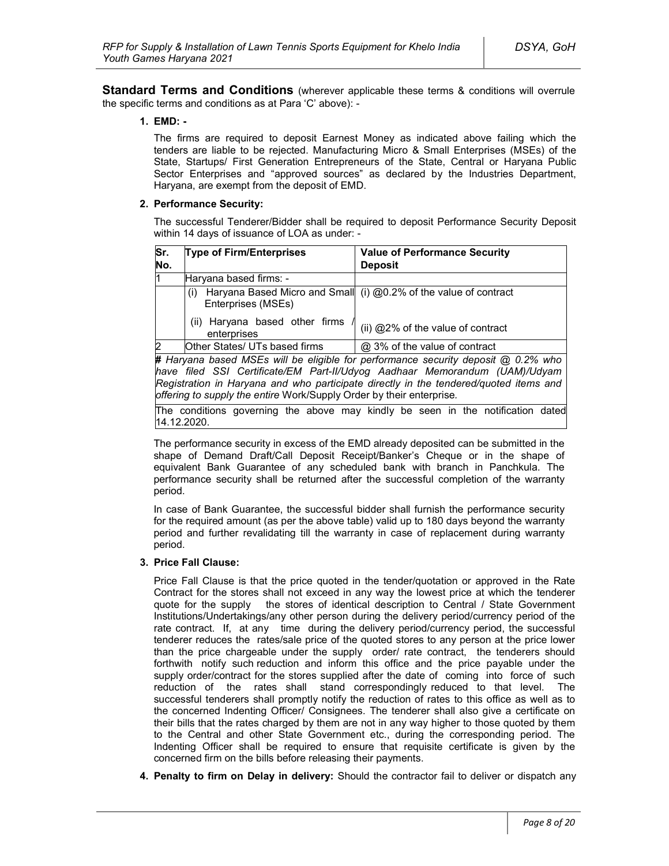**Standard Terms and Conditions** (wherever applicable these terms & conditions will overrule the specific terms and conditions as at Para 'C' above): -

#### **1. EMD: -**

The firms are required to deposit Earnest Money as indicated above failing which the tenders are liable to be rejected. Manufacturing Micro & Small Enterprises (MSEs) of the State, Startups/ First Generation Entrepreneurs of the State, Central or Haryana Public Sector Enterprises and "approved sources" as declared by the Industries Department, Haryana, are exempt from the deposit of EMD.

#### **2. Performance Security:**

The successful Tenderer/Bidder shall be required to deposit Performance Security Deposit within 14 days of issuance of LOA as under: -

| Sr. | <b>Type of Firm/Enterprises</b>                                                   | <b>Value of Performance Security</b>                             |
|-----|-----------------------------------------------------------------------------------|------------------------------------------------------------------|
| No. |                                                                                   | <b>Deposit</b>                                                   |
| l1  | Haryana based firms: -                                                            |                                                                  |
|     | (i)<br>Enterprises (MSEs)                                                         | Haryana Based Micro and Small (i) @0.2% of the value of contract |
|     | Haryana based other firms<br>(ii)<br>enterprises                                  | (ii) @2% of the value of contract                                |
| 2   | Other States/ UTs based firms                                                     | @ 3% of the value of contract                                    |
|     | # Haryana based MSEs will be eligible for performance security deposit @ 0.2% who |                                                                  |

*have filed SSI Certificate/EM Part-II/Udyog Aadhaar Memorandum (UAM)/Udyam Registration in Haryana and who participate directly in the tendered/quoted items and offering to supply the entire* Work/Supply Order by their enterprise*.*

The conditions governing the above may kindly be seen in the notification dated 14.12.2020.

The performance security in excess of the EMD already deposited can be submitted in the shape of Demand Draft/Call Deposit Receipt/Banker's Cheque or in the shape of equivalent Bank Guarantee of any scheduled bank with branch in Panchkula. The performance security shall be returned after the successful completion of the warranty period.

In case of Bank Guarantee, the successful bidder shall furnish the performance security for the required amount (as per the above table) valid up to 180 days beyond the warranty period and further revalidating till the warranty in case of replacement during warranty period.

#### **3. Price Fall Clause:**

Price Fall Clause is that the price quoted in the tender/quotation or approved in the Rate Contract for the stores shall not exceed in any way the lowest price at which the tenderer quote for the supply the stores of identical description to Central / State Government Institutions/Undertakings/any other person during the delivery period/currency period of the rate contract. If, at any time during the delivery period/currency period, the successful tenderer reduces the rates/sale price of the quoted stores to any person at the price lower than the price chargeable under the supply order/ rate contract, the tenderers should forthwith notify such reduction and inform this office and the price payable under the supply order/contract for the stores supplied after the date of coming into force of such reduction of the rates shall stand correspondingly reduced to that level. The successful tenderers shall promptly notify the reduction of rates to this office as well as to the concerned Indenting Officer/ Consignees. The tenderer shall also give a certificate on their bills that the rates charged by them are not in any way higher to those quoted by them to the Central and other State Government etc., during the corresponding period. The Indenting Officer shall be required to ensure that requisite certificate is given by the concerned firm on the bills before releasing their payments.

**4. Penalty to firm on Delay in delivery:** Should the contractor fail to deliver or dispatch any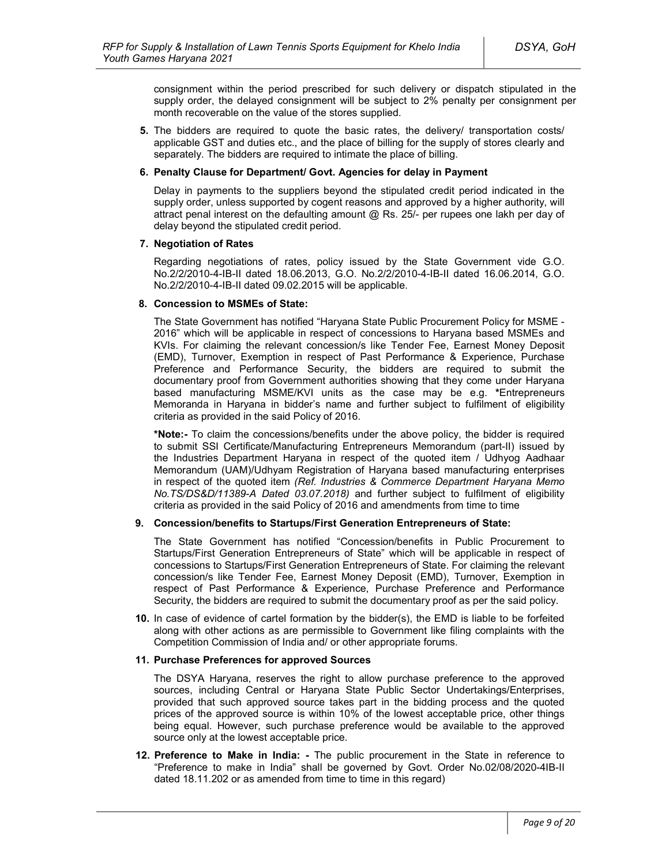consignment within the period prescribed for such delivery or dispatch stipulated in the supply order, the delayed consignment will be subject to 2% penalty per consignment per month recoverable on the value of the stores supplied.

**5.** The bidders are required to quote the basic rates, the delivery/ transportation costs/ applicable GST and duties etc., and the place of billing for the supply of stores clearly and separately. The bidders are required to intimate the place of billing.

#### **6. Penalty Clause for Department/ Govt. Agencies for delay in Payment**

Delay in payments to the suppliers beyond the stipulated credit period indicated in the supply order, unless supported by cogent reasons and approved by a higher authority, will attract penal interest on the defaulting amount  $@$  Rs. 25/- per rupees one lakh per day of delay beyond the stipulated credit period.

#### **7. Negotiation of Rates**

Regarding negotiations of rates, policy issued by the State Government vide G.O. No.2/2/2010-4-IB-II dated 18.06.2013, G.O. No.2/2/2010-4-IB-II dated 16.06.2014, G.O. No.2/2/2010-4-IB-II dated 09.02.2015 will be applicable.

#### **8. Concession to MSMEs of State:**

The State Government has notified "Haryana State Public Procurement Policy for MSME - 2016" which will be applicable in respect of concessions to Haryana based MSMEs and KVIs. For claiming the relevant concession/s like Tender Fee, Earnest Money Deposit (EMD), Turnover, Exemption in respect of Past Performance & Experience, Purchase Preference and Performance Security, the bidders are required to submit the documentary proof from Government authorities showing that they come under Haryana based manufacturing MSME/KVI units as the case may be e.g. **\***Entrepreneurs Memoranda in Haryana in bidder's name and further subject to fulfilment of eligibility criteria as provided in the said Policy of 2016.

**\*Note:-** To claim the concessions/benefits under the above policy, the bidder is required to submit SSI Certificate/Manufacturing Entrepreneurs Memorandum (part-II) issued by the Industries Department Haryana in respect of the quoted item / Udhyog Aadhaar Memorandum (UAM)/Udhyam Registration of Haryana based manufacturing enterprises in respect of the quoted item *(Ref. Industries & Commerce Department Haryana Memo No.TS/DS&D/11389-A Dated 03.07.2018)* and further subject to fulfilment of eligibility criteria as provided in the said Policy of 2016 and amendments from time to time

## **9. Concession/benefits to Startups/First Generation Entrepreneurs of State:**

The State Government has notified "Concession/benefits in Public Procurement to Startups/First Generation Entrepreneurs of State" which will be applicable in respect of concessions to Startups/First Generation Entrepreneurs of State. For claiming the relevant concession/s like Tender Fee, Earnest Money Deposit (EMD), Turnover, Exemption in respect of Past Performance & Experience, Purchase Preference and Performance Security, the bidders are required to submit the documentary proof as per the said policy.

**10.** In case of evidence of cartel formation by the bidder(s), the EMD is liable to be forfeited along with other actions as are permissible to Government like filing complaints with the Competition Commission of India and/ or other appropriate forums.

#### **11. Purchase Preferences for approved Sources**

The DSYA Haryana, reserves the right to allow purchase preference to the approved sources, including Central or Haryana State Public Sector Undertakings/Enterprises, provided that such approved source takes part in the bidding process and the quoted prices of the approved source is within 10% of the lowest acceptable price, other things being equal. However, such purchase preference would be available to the approved source only at the lowest acceptable price.

**12. Preference to Make in India: -** The public procurement in the State in reference to "Preference to make in India" shall be governed by Govt. Order No.02/08/2020-4IB-II dated 18.11.202 or as amended from time to time in this regard)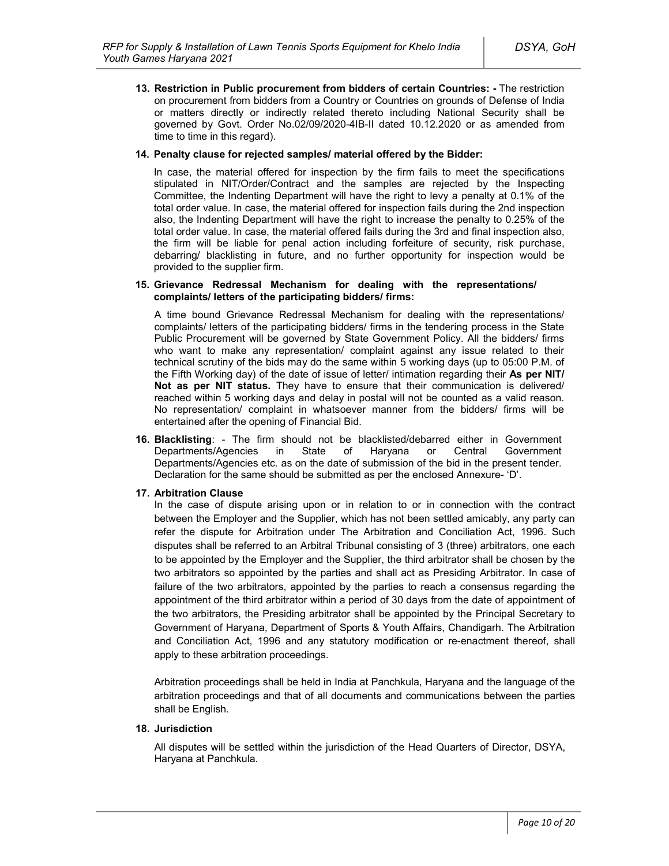**13. Restriction in Public procurement from bidders of certain Countries: -** The restriction on procurement from bidders from a Country or Countries on grounds of Defense of India or matters directly or indirectly related thereto including National Security shall be governed by Govt. Order No.02/09/2020-4IB-II dated 10.12.2020 or as amended from time to time in this regard).

#### **14. Penalty clause for rejected samples/ material offered by the Bidder:**

In case, the material offered for inspection by the firm fails to meet the specifications stipulated in NIT/Order/Contract and the samples are rejected by the Inspecting Committee, the Indenting Department will have the right to levy a penalty at 0.1% of the total order value. In case, the material offered for inspection fails during the 2nd inspection also, the Indenting Department will have the right to increase the penalty to 0.25% of the total order value. In case, the material offered fails during the 3rd and final inspection also, the firm will be liable for penal action including forfeiture of security, risk purchase, debarring/ blacklisting in future, and no further opportunity for inspection would be provided to the supplier firm.

#### **15. Grievance Redressal Mechanism for dealing with the representations/ complaints/ letters of the participating bidders/ firms:**

A time bound Grievance Redressal Mechanism for dealing with the representations/ complaints/ letters of the participating bidders/ firms in the tendering process in the State Public Procurement will be governed by State Government Policy. All the bidders/ firms who want to make any representation/ complaint against any issue related to their technical scrutiny of the bids may do the same within 5 working days (up to 05:00 P.M. of the Fifth Working day) of the date of issue of letter/ intimation regarding their **As per NIT/ Not as per NIT status.** They have to ensure that their communication is delivered/ reached within 5 working days and delay in postal will not be counted as a valid reason. No representation/ complaint in whatsoever manner from the bidders/ firms will be entertained after the opening of Financial Bid.

**16. Blacklisting**: - The firm should not be blacklisted/debarred either in Government Departments/Agencies in State of Haryana or Central Government Departments/Agencies etc. as on the date of submission of the bid in the present tender. Declaration for the same should be submitted as per the enclosed Annexure- 'D'.

## **17. Arbitration Clause**

In the case of dispute arising upon or in relation to or in connection with the contract between the Employer and the Supplier, which has not been settled amicably, any party can refer the dispute for Arbitration under The Arbitration and Conciliation Act, 1996. Such disputes shall be referred to an Arbitral Tribunal consisting of 3 (three) arbitrators, one each to be appointed by the Employer and the Supplier, the third arbitrator shall be chosen by the two arbitrators so appointed by the parties and shall act as Presiding Arbitrator. In case of failure of the two arbitrators, appointed by the parties to reach a consensus regarding the appointment of the third arbitrator within a period of 30 days from the date of appointment of the two arbitrators, the Presiding arbitrator shall be appointed by the Principal Secretary to Government of Haryana, Department of Sports & Youth Affairs, Chandigarh. The Arbitration and Conciliation Act, 1996 and any statutory modification or re-enactment thereof, shall apply to these arbitration proceedings.

Arbitration proceedings shall be held in India at Panchkula, Haryana and the language of the arbitration proceedings and that of all documents and communications between the parties shall be English.

## **18. Jurisdiction**

All disputes will be settled within the jurisdiction of the Head Quarters of Director, DSYA, Haryana at Panchkula.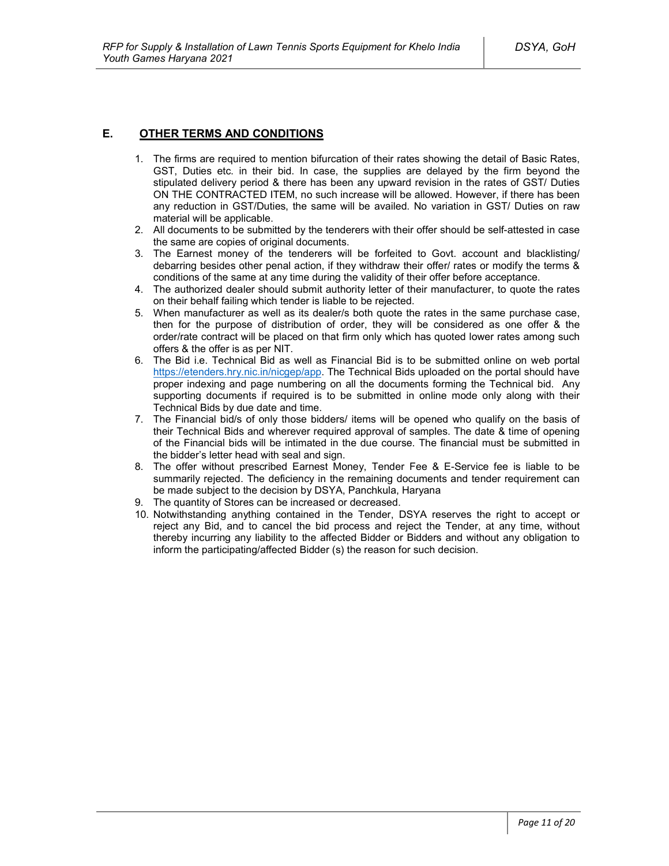## **E. OTHER TERMS AND CONDITIONS**

- 1. The firms are required to mention bifurcation of their rates showing the detail of Basic Rates, GST, Duties etc. in their bid. In case, the supplies are delayed by the firm beyond the stipulated delivery period & there has been any upward revision in the rates of GST/ Duties ON THE CONTRACTED ITEM, no such increase will be allowed. However, if there has been any reduction in GST/Duties, the same will be availed. No variation in GST/ Duties on raw material will be applicable.
- 2. All documents to be submitted by the tenderers with their offer should be self-attested in case the same are copies of original documents.
- 3. The Earnest money of the tenderers will be forfeited to Govt. account and blacklisting/ debarring besides other penal action, if they withdraw their offer/ rates or modify the terms & conditions of the same at any time during the validity of their offer before acceptance.
- 4. The authorized dealer should submit authority letter of their manufacturer, to quote the rates on their behalf failing which tender is liable to be rejected.
- 5. When manufacturer as well as its dealer/s both quote the rates in the same purchase case, then for the purpose of distribution of order, they will be considered as one offer & the order/rate contract will be placed on that firm only which has quoted lower rates among such offers & the offer is as per NIT.
- 6. The Bid i.e. Technical Bid as well as Financial Bid is to be submitted online on web portal https://etenders.hry.nic.in/nicgep/app. The Technical Bids uploaded on the portal should have proper indexing and page numbering on all the documents forming the Technical bid. Any supporting documents if required is to be submitted in online mode only along with their Technical Bids by due date and time.
- 7. The Financial bid/s of only those bidders/ items will be opened who qualify on the basis of their Technical Bids and wherever required approval of samples. The date & time of opening of the Financial bids will be intimated in the due course. The financial must be submitted in the bidder's letter head with seal and sign.
- 8. The offer without prescribed Earnest Money, Tender Fee & E-Service fee is liable to be summarily rejected. The deficiency in the remaining documents and tender requirement can be made subject to the decision by DSYA, Panchkula, Haryana
- 9. The quantity of Stores can be increased or decreased.
- 10. Notwithstanding anything contained in the Tender, DSYA reserves the right to accept or reject any Bid, and to cancel the bid process and reject the Tender, at any time, without thereby incurring any liability to the affected Bidder or Bidders and without any obligation to inform the participating/affected Bidder (s) the reason for such decision.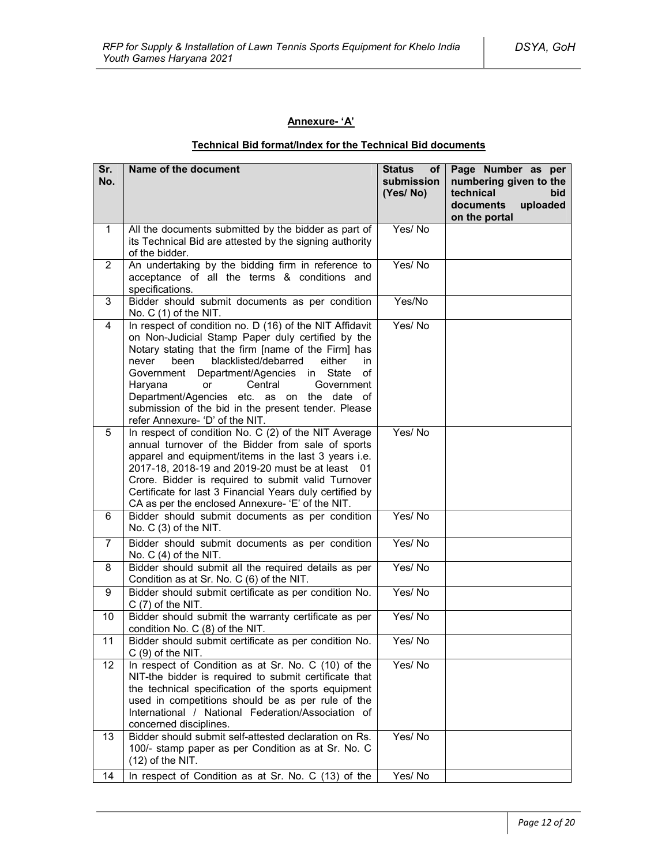## **Annexure- 'A'**

## **Technical Bid format/Index for the Technical Bid documents**

| Sr.<br>No.              | Name of the document                                                                                                                                                                                                                                                                                                                                                                                                                                                    | <b>Status</b><br>of <sub>1</sub><br>submission<br>(Yes/No) | Page Number as per<br>numbering given to the<br>technical<br>bid<br>documents<br>uploaded<br>on the portal |
|-------------------------|-------------------------------------------------------------------------------------------------------------------------------------------------------------------------------------------------------------------------------------------------------------------------------------------------------------------------------------------------------------------------------------------------------------------------------------------------------------------------|------------------------------------------------------------|------------------------------------------------------------------------------------------------------------|
| $\mathbf{1}$            | All the documents submitted by the bidder as part of<br>its Technical Bid are attested by the signing authority<br>of the bidder.                                                                                                                                                                                                                                                                                                                                       | Yes/No                                                     |                                                                                                            |
| $\overline{2}$          | An undertaking by the bidding firm in reference to<br>acceptance of all the terms & conditions and<br>specifications.                                                                                                                                                                                                                                                                                                                                                   | Yes/No                                                     |                                                                                                            |
| 3                       | Bidder should submit documents as per condition<br>No. $C(1)$ of the NIT.                                                                                                                                                                                                                                                                                                                                                                                               | Yes/No                                                     |                                                                                                            |
| $\overline{\mathbf{4}}$ | In respect of condition no. D (16) of the NIT Affidavit<br>on Non-Judicial Stamp Paper duly certified by the<br>Notary stating that the firm [name of the Firm] has<br>blacklisted/debarred<br>either<br>never<br>been<br>in.<br>Government Department/Agencies in State<br>οf<br>Haryana<br>Central<br>Government<br><b>or</b><br>Department/Agencies etc. as on the date of<br>submission of the bid in the present tender. Please<br>refer Annexure- 'D' of the NIT. | Yes/No                                                     |                                                                                                            |
| 5                       | In respect of condition No. C (2) of the NIT Average<br>annual turnover of the Bidder from sale of sports<br>apparel and equipment/items in the last 3 years i.e.<br>2017-18, 2018-19 and 2019-20 must be at least 01<br>Crore. Bidder is required to submit valid Turnover<br>Certificate for last 3 Financial Years duly certified by<br>CA as per the enclosed Annexure- 'E' of the NIT.                                                                             | Yes/No                                                     |                                                                                                            |
| 6                       | Bidder should submit documents as per condition<br>No. C (3) of the NIT.                                                                                                                                                                                                                                                                                                                                                                                                | Yes/No                                                     |                                                                                                            |
| $\overline{7}$          | Bidder should submit documents as per condition<br>No. $C(4)$ of the NIT.                                                                                                                                                                                                                                                                                                                                                                                               | Yes/No                                                     |                                                                                                            |
| 8                       | Bidder should submit all the required details as per<br>Condition as at Sr. No. C (6) of the NIT.                                                                                                                                                                                                                                                                                                                                                                       | Yes/No                                                     |                                                                                                            |
| 9                       | Bidder should submit certificate as per condition No.<br>$C(7)$ of the NIT.                                                                                                                                                                                                                                                                                                                                                                                             | Yes/No                                                     |                                                                                                            |
| 10                      | Bidder should submit the warranty certificate as per<br>condition No. C (8) of the NIT.                                                                                                                                                                                                                                                                                                                                                                                 | Yes/No                                                     |                                                                                                            |
| 11                      | Bidder should submit certificate as per condition No.<br>$C(9)$ of the NIT.                                                                                                                                                                                                                                                                                                                                                                                             | Yes/No                                                     |                                                                                                            |
| 12                      | In respect of Condition as at Sr. No. C (10) of the<br>NIT-the bidder is required to submit certificate that<br>the technical specification of the sports equipment<br>used in competitions should be as per rule of the<br>International / National Federation/Association of<br>concerned disciplines.                                                                                                                                                                | Yes/No                                                     |                                                                                                            |
| 13                      | Bidder should submit self-attested declaration on Rs.<br>100/- stamp paper as per Condition as at Sr. No. C<br>$(12)$ of the NIT.                                                                                                                                                                                                                                                                                                                                       | Yes/No                                                     |                                                                                                            |
| 14                      | In respect of Condition as at Sr. No. C (13) of the                                                                                                                                                                                                                                                                                                                                                                                                                     | Yes/No                                                     |                                                                                                            |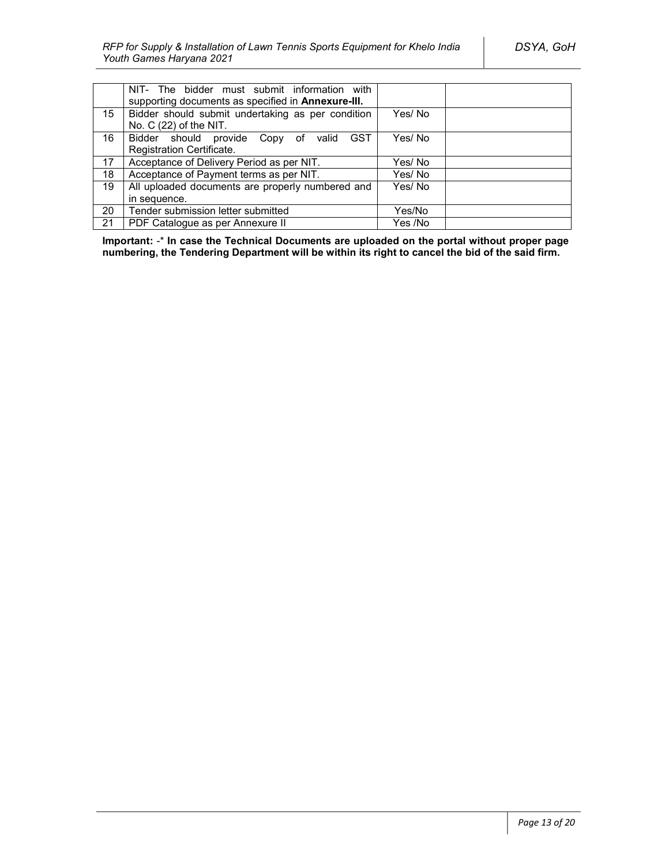|                  | NIT- The bidder must submit information with<br>supporting documents as specified in Annexure-III. |         |
|------------------|----------------------------------------------------------------------------------------------------|---------|
| 15 <sup>15</sup> | Bidder should submit undertaking as per condition<br>No. $C(22)$ of the NIT.                       | Yes/No  |
| 16               | <b>GST</b><br>Bidder should provide Copy of valid                                                  | Yes/No  |
|                  | Registration Certificate.                                                                          |         |
| 17               | Acceptance of Delivery Period as per NIT.                                                          | Yes/ No |
| 18               | Acceptance of Payment terms as per NIT.                                                            | Yes/ No |
| 19               | All uploaded documents are properly numbered and                                                   | Yes/No  |
|                  | in sequence.                                                                                       |         |
| 20               | Tender submission letter submitted                                                                 | Yes/No  |
| 21               | PDF Catalogue as per Annexure II                                                                   | Yes /No |

**Important:** -\* **In case the Technical Documents are uploaded on the portal without proper page numbering, the Tendering Department will be within its right to cancel the bid of the said firm.**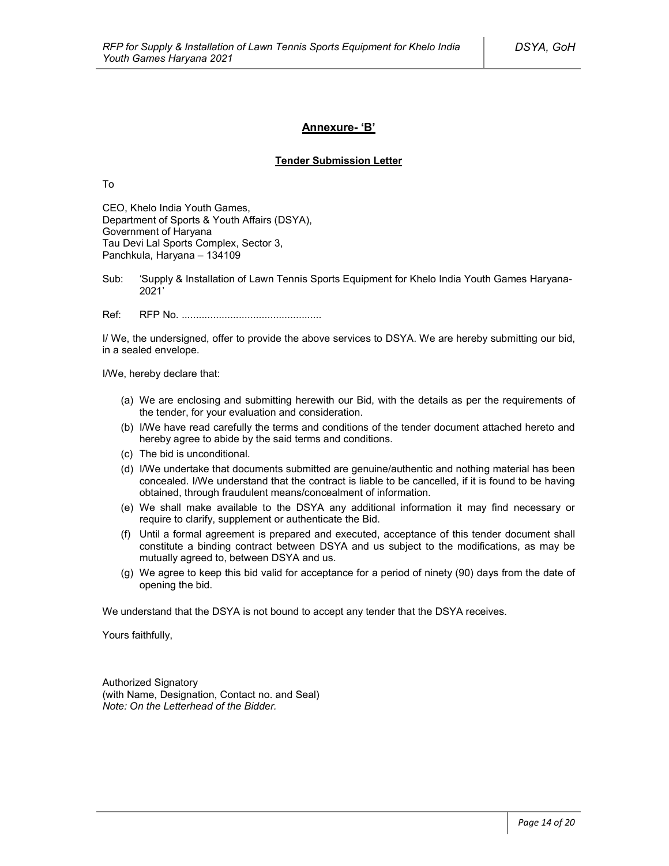## **Annexure- 'B'**

#### **Tender Submission Letter**

To

CEO, Khelo India Youth Games, Department of Sports & Youth Affairs (DSYA), Government of Haryana Tau Devi Lal Sports Complex, Sector 3, Panchkula, Haryana – 134109

Sub: 'Supply & Installation of Lawn Tennis Sports Equipment for Khelo India Youth Games Haryana-2021'

Ref: RFP No. .................................................

I/ We, the undersigned, offer to provide the above services to DSYA. We are hereby submitting our bid, in a sealed envelope.

I/We, hereby declare that:

- (a) We are enclosing and submitting herewith our Bid, with the details as per the requirements of the tender, for your evaluation and consideration.
- (b) I/We have read carefully the terms and conditions of the tender document attached hereto and hereby agree to abide by the said terms and conditions.
- (c) The bid is unconditional.
- (d) I/We undertake that documents submitted are genuine/authentic and nothing material has been concealed. I/We understand that the contract is liable to be cancelled, if it is found to be having obtained, through fraudulent means/concealment of information.
- (e) We shall make available to the DSYA any additional information it may find necessary or require to clarify, supplement or authenticate the Bid.
- (f) Until a formal agreement is prepared and executed, acceptance of this tender document shall constitute a binding contract between DSYA and us subject to the modifications, as may be mutually agreed to, between DSYA and us.
- (g) We agree to keep this bid valid for acceptance for a period of ninety (90) days from the date of opening the bid.

We understand that the DSYA is not bound to accept any tender that the DSYA receives.

Yours faithfully,

Authorized Signatory (with Name, Designation, Contact no. and Seal) *Note: On the Letterhead of the Bidder.*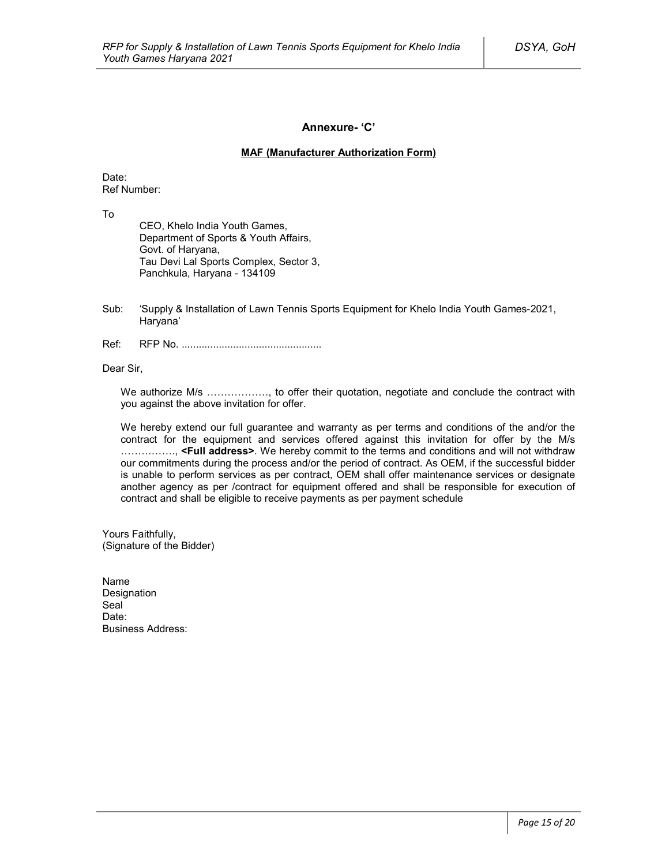## **Annexure- 'C'**

#### **MAF (Manufacturer Authorization Form)**

Date: Ref Number:

To

CEO, Khelo India Youth Games, Department of Sports & Youth Affairs, Govt. of Haryana, Tau Devi Lal Sports Complex, Sector 3, Panchkula, Haryana - 134109

- Sub: 'Supply & Installation of Lawn Tennis Sports Equipment for Khelo India Youth Games-2021, Haryana'
- Ref: RFP No. .................................................

Dear Sir,

We authorize M/s ………………, to offer their quotation, negotiate and conclude the contract with you against the above invitation for offer.

We hereby extend our full guarantee and warranty as per terms and conditions of the and/or the contract for the equipment and services offered against this invitation for offer by the M/s ……………., **<Full address>**. We hereby commit to the terms and conditions and will not withdraw our commitments during the process and/or the period of contract. As OEM, if the successful bidder is unable to perform services as per contract, OEM shall offer maintenance services or designate another agency as per /contract for equipment offered and shall be responsible for execution of contract and shall be eligible to receive payments as per payment schedule

Yours Faithfully, (Signature of the Bidder)

Name Designation Seal<sup>1</sup> Date<sup>.</sup> Business Address: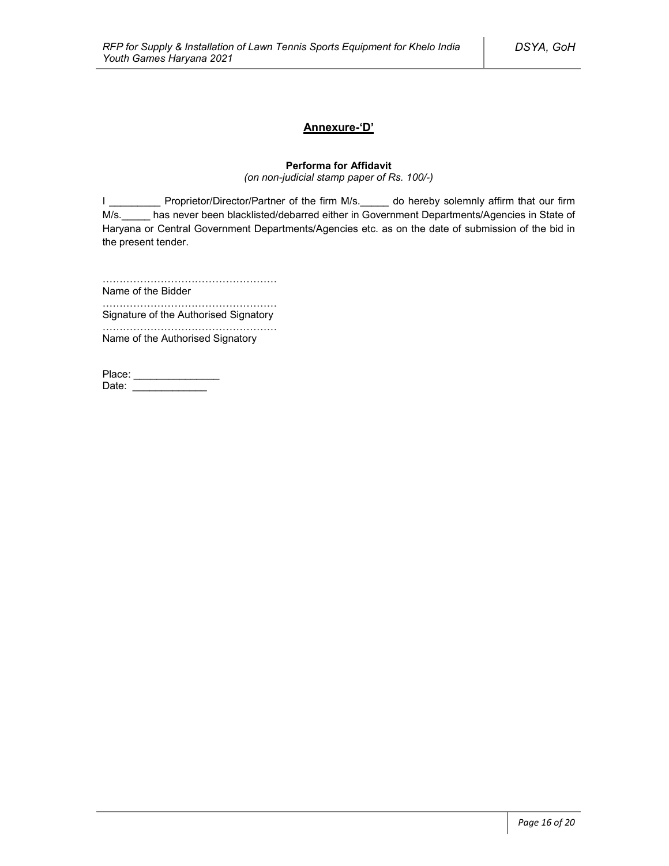## **Annexure-'D'**

## **Performa for Affidavit**

*(on non-judicial stamp paper of Rs. 100/-)*

I \_\_\_\_\_\_\_\_\_\_\_ Proprietor/Director/Partner of the firm M/s.\_\_\_\_\_ do hereby solemnly affirm that our firm M/s. has never been blacklisted/debarred either in Government Departments/Agencies in State of Haryana or Central Government Departments/Agencies etc. as on the date of submission of the bid in the present tender.

……………………………………………

Name of the Bidder ……………………………………………

Signature of the Authorised Signatory

…………………………………………… Name of the Authorised Signatory

| Place: |  |
|--------|--|
| Date:  |  |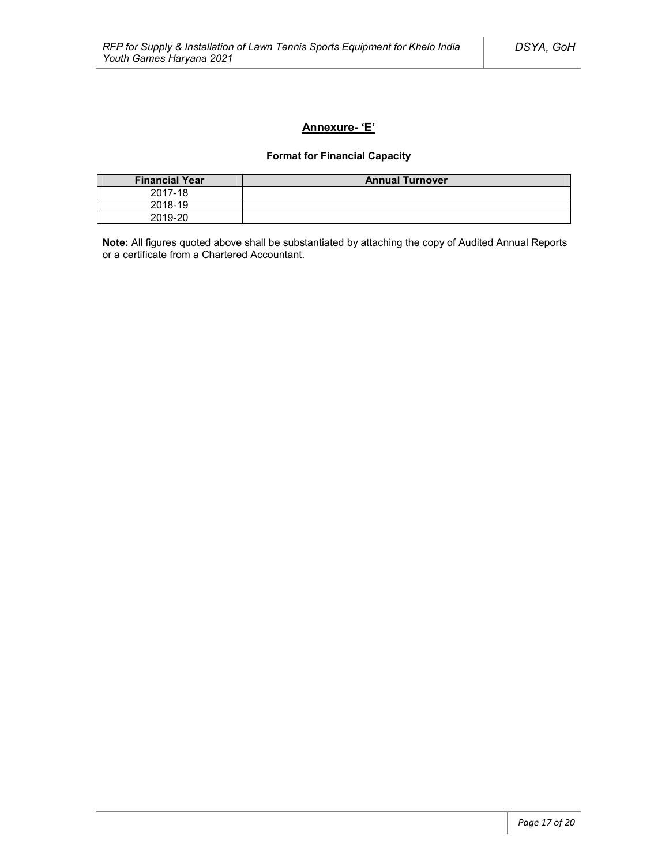## **Annexure- 'E'**

## **Format for Financial Capacity**

| <b>Financial Year</b> | <b>Annual Turnover</b> |
|-----------------------|------------------------|
| 2017-18               |                        |
| 2018-19               |                        |
| 2019-20               |                        |

**Note:** All figures quoted above shall be substantiated by attaching the copy of Audited Annual Reports or a certificate from a Chartered Accountant.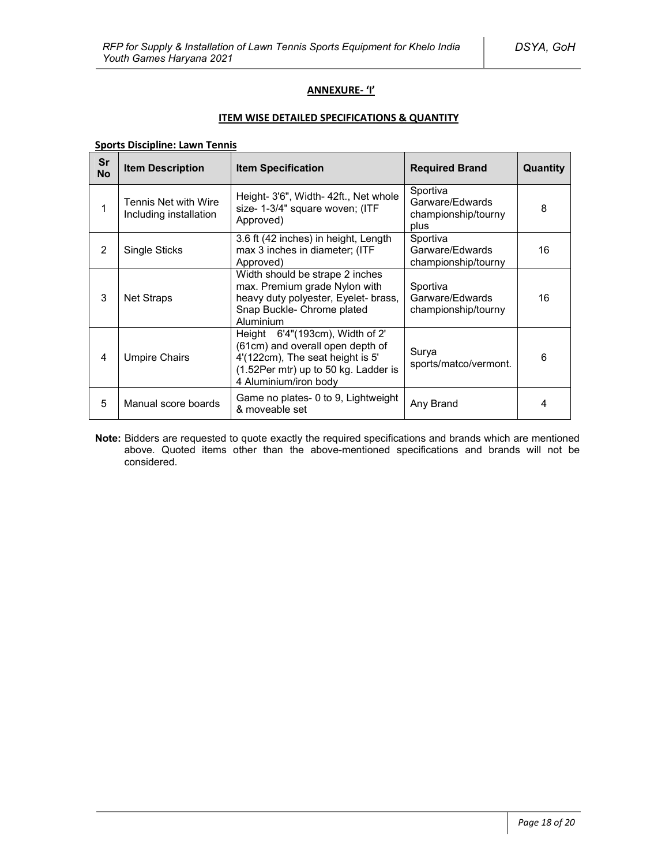## **ANNEXURE- 'I'**

## **ITEM WISE DETAILED SPECIFICATIONS & QUANTITY**

## **Sports Discipline: Lawn Tennis**

| Sr<br><b>No</b> | <b>Item Description</b>                        | <b>Item Specification</b>                                                                                                                                                    | <b>Required Brand</b>                                      | Quantity |
|-----------------|------------------------------------------------|------------------------------------------------------------------------------------------------------------------------------------------------------------------------------|------------------------------------------------------------|----------|
|                 | Tennis Net with Wire<br>Including installation | Height- 3'6", Width- 42ft., Net whole<br>size- 1-3/4" square woven; (ITF<br>Approved)                                                                                        | Sportiva<br>Garware/Edwards<br>championship/tourny<br>plus | 8        |
| 2               | Single Sticks                                  | 3.6 ft (42 inches) in height, Length<br>max 3 inches in diameter; (ITF<br>Approved)                                                                                          | Sportiva<br>Garware/Edwards<br>championship/tourny         | 16       |
| 3               | <b>Net Straps</b>                              | Width should be strape 2 inches<br>max. Premium grade Nylon with<br>heavy duty polyester, Eyelet- brass,<br>Snap Buckle- Chrome plated<br>Aluminium                          | Sportiva<br>Garware/Edwards<br>championship/tourny         | 16       |
| 4               | <b>Umpire Chairs</b>                           | Height $6'4''(193cm)$ , Width of 2'<br>(61cm) and overall open depth of<br>4'(122cm), The seat height is 5'<br>(1.52Per mtr) up to 50 kg. Ladder is<br>4 Aluminium/iron body | Surya<br>sports/matco/vermont.                             | 6        |
| 5               | Manual score boards                            | Game no plates- 0 to 9, Lightweight<br>& moveable set                                                                                                                        | Any Brand                                                  | 4        |

**Note:** Bidders are requested to quote exactly the required specifications and brands which are mentioned above. Quoted items other than the above-mentioned specifications and brands will not be considered.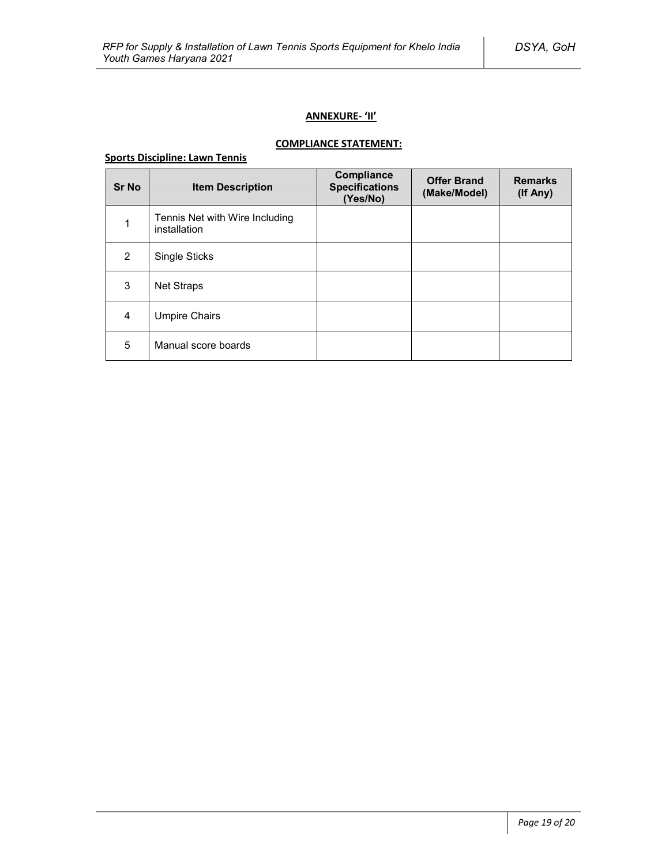## **ANNEXURE- 'II'**

## **COMPLIANCE STATEMENT:**

# **Sports Discipline: Lawn Tennis**

| <b>Sr No</b> | <b>Item Description</b>                        | Compliance<br><b>Specifications</b><br>(Yes/No) | <b>Offer Brand</b><br>(Make/Model) | <b>Remarks</b><br>(If Any) |
|--------------|------------------------------------------------|-------------------------------------------------|------------------------------------|----------------------------|
| 1            | Tennis Net with Wire Including<br>installation |                                                 |                                    |                            |
| 2            | <b>Single Sticks</b>                           |                                                 |                                    |                            |
| 3            | Net Straps                                     |                                                 |                                    |                            |
| 4            | Umpire Chairs                                  |                                                 |                                    |                            |
| 5            | Manual score boards                            |                                                 |                                    |                            |